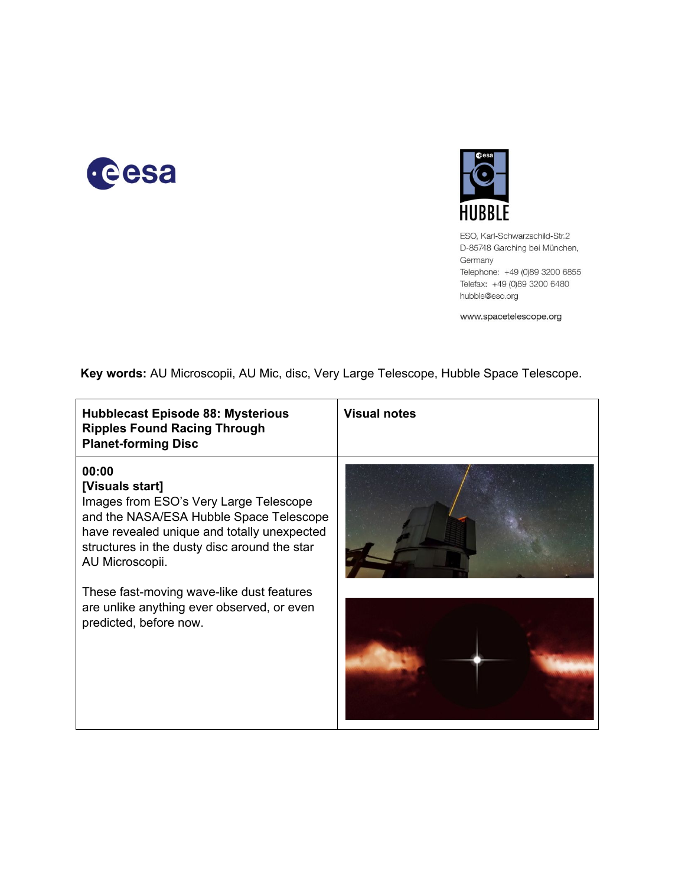



ESO, Karl-Schwarzschild-Str.2 D-85748 Garching bei München, Germany Telephone: +49 (0)89 3200 6855 Telefax: +49 (0)89 3200 6480 hubble@eso.org

www.spacetelescope.org

**Key words:**AU Microscopii, AU Mic, disc, Very Large Telescope, Hubble Space Telescope.

| <b>Hubblecast Episode 88: Mysterious</b><br><b>Ripples Found Racing Through</b><br><b>Planet-forming Disc</b>                                                                                                                   | <b>Visual notes</b> |
|---------------------------------------------------------------------------------------------------------------------------------------------------------------------------------------------------------------------------------|---------------------|
| 00:00<br>[Visuals start]<br>Images from ESO's Very Large Telescope<br>and the NASA/ESA Hubble Space Telescope<br>have revealed unique and totally unexpected<br>structures in the dusty disc around the star<br>AU Microscopii. |                     |
| These fast-moving wave-like dust features<br>are unlike anything ever observed, or even<br>predicted, before now.                                                                                                               |                     |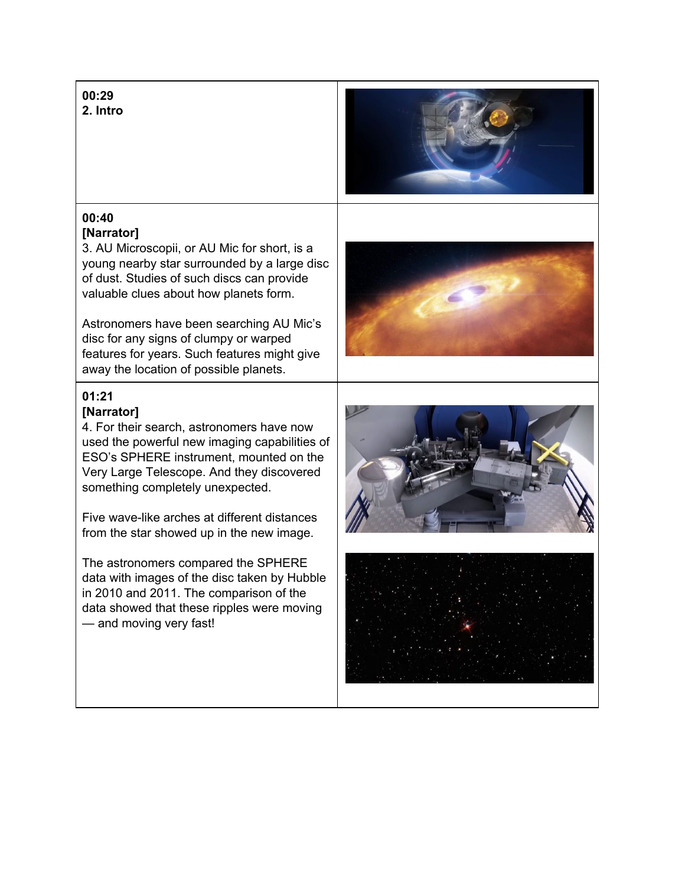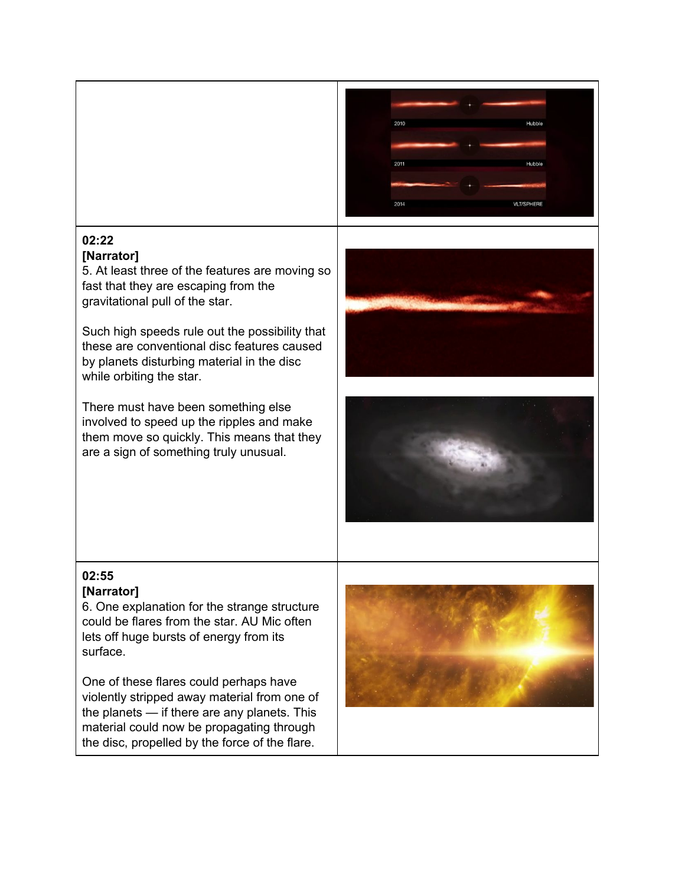

## **02:22**

## **[Narrator]**

5. At least three of the features are moving so fast that they are escaping from the gravitational pull of the star.

Such high speeds rule out the possibility that these are conventional disc features caused by planets disturbing material in the disc while orbiting the star.

There must have been something else involved to speed up the ripples and make them move so quickly. This means that they are a sign of something truly unusual.





## **02:55 [Narrator]**

6. One explanation for the strange structure could be flares from the star. AU Mic often lets off huge bursts of energy from its surface.

One of these flares could perhaps have violently stripped away material from one of the planets — if there are any planets. This material could now be propagating through the disc, propelled by the force of the flare.